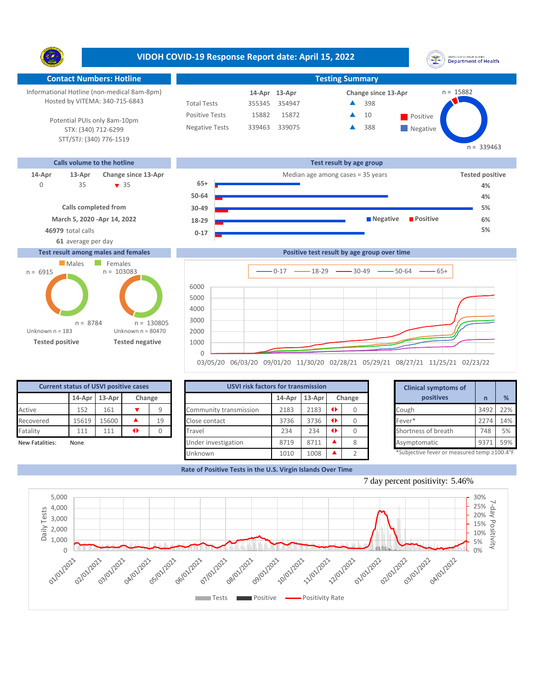**VIDOH COVID-19 Response Report date: April 15, 2022** UNITED STATES VIRGIN SLANDS<br>Department of Health Y. **Contact Numbers: Hotline Testing Summary** Informational Hotline (non-medical 8am-8pm) n = 15882 **13-Apr 14-Apr Change since 13-Apr** Hosted by VITEMA: 340-715-6843 Total Tests 355345 354947 398 ▲ Positive Tests 15882 15872  $\triangle$  10 Positive  $\blacktriangle$ 10 Potential PUIs only 8am-10pm Negative Tests 339463 339075 388 ▲ **Negative** STX: (340) 712-6299 STT/STJ: (340) 776-1519  $n = 339463$ **Calls volume to the hotline Test result by age group 14-Apr 13-Apr Change since 13-Apr** Median age among cases = 35 years **Tested positive 65+** 35 35 0 **4% 50-64 4% Calls completed from 30-49 5% March 5, 2020 -Apr 14, 2022 Negative Positive 6% 18-29 46979** total calls **5% 0-17 61** average per day

## **Test result among males and females**





| <b>Current status of USVI positive cases</b> |                            |       |  |    |  |  |  |  |  |  |
|----------------------------------------------|----------------------------|-------|--|----|--|--|--|--|--|--|
|                                              | 14-Apr<br>13-Apr<br>Change |       |  |    |  |  |  |  |  |  |
| Active                                       | 152<br>161                 |       |  |    |  |  |  |  |  |  |
| Recovered                                    | 15619                      | 15600 |  | 19 |  |  |  |  |  |  |
| Fatality                                     | 111                        | 111   |  |    |  |  |  |  |  |  |
| <b>New Fatalities:</b><br>None               |                            |       |  |    |  |  |  |  |  |  |

| <b>Current status of USVI positive cases</b> |       |               |                 |        | <b>USVI risk factors for transmission</b> |        |        |        | <b>Clinical symptoms of</b>                |      |     |
|----------------------------------------------|-------|---------------|-----------------|--------|-------------------------------------------|--------|--------|--------|--------------------------------------------|------|-----|
|                                              |       | 14-Apr 13-Apr |                 | Change |                                           | 14-Apr | 13-Apr | Change | positives                                  |      | %   |
| Active                                       | 152   | 161           |                 |        | Community transmission                    | 2183   | 2183   |        | Cough                                      | 3492 | 22% |
| Recovered                                    | 15619 | 15600         |                 | 19     | Close contact                             | 3736   | 3736   |        | Fever*                                     | 2274 | 14% |
| Fatality                                     | 111   | 111           | $\blacklozenge$ |        | Travel                                    | 234    | 234    |        | Shortness of breath                        | 748  | 5%  |
| New Fatalities:                              | None  |               |                 |        | Under investigation                       | 8719   | 8711   | C      | Asymptomatic                               | 937  | 59% |
|                                              |       |               |                 |        | Unknown                                   | 1010   | 1008   |        | *Subjective fever or measured temp ≥100.4° |      |     |

|                      | for transmission     |           |        | <b>Clinical symptoms of</b>                                                                                                                                                                                                                                                          |      |     |
|----------------------|----------------------|-----------|--------|--------------------------------------------------------------------------------------------------------------------------------------------------------------------------------------------------------------------------------------------------------------------------------------|------|-----|
| 14-Apr               | 13-Apr               |           | Change | positives                                                                                                                                                                                                                                                                            | n    | %   |
| 2183                 | 2183                 | $\bullet$ | 0      | Cough                                                                                                                                                                                                                                                                                | 3492 | 22% |
| 3736                 | 3736                 | $\bullet$ |        | Fever*                                                                                                                                                                                                                                                                               | 2274 | 14% |
| 234                  | 234                  | Œ         | 0      | Shortness of breath                                                                                                                                                                                                                                                                  | 748  | 5%  |
| 8719                 | 8711                 |           |        | Asymptomatic                                                                                                                                                                                                                                                                         | 9371 | 59% |
| $\sim$ $\sim$ $\sim$ | $\sim$ $\sim$ $\sim$ |           |        | $*c_1, k_1, k_2, k_3, k_4, k_5, k_6, k_7, k_8, k_9, k_1, k_2, k_3, k_4, k_5, k_6, k_7, k_8, k_9, k_1, k_2, k_3, k_4, k_5, k_6, k_7, k_8, k_9, k_1, k_2, k_3, k_4, k_5, k_6, k_7, k_8, k_9, k_1, k_2, k_3, k_4, k_5, k_6, k_7, k_8, k_9, k_1, k_2, k_3, k_4, k_5, k_6, k_7, k_8, k_9$ |      |     |

**Rate of Positive Tests in the U.S. Virgin Islands Over Time**